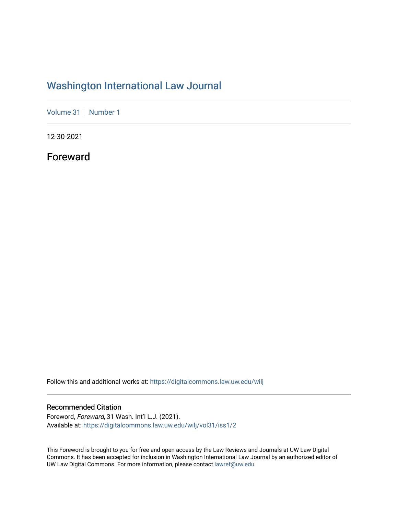## [Washington International Law Journal](https://digitalcommons.law.uw.edu/wilj)

[Volume 31](https://digitalcommons.law.uw.edu/wilj/vol31) | [Number 1](https://digitalcommons.law.uw.edu/wilj/vol31/iss1)

12-30-2021

Foreward

Follow this and additional works at: [https://digitalcommons.law.uw.edu/wilj](https://digitalcommons.law.uw.edu/wilj?utm_source=digitalcommons.law.uw.edu%2Fwilj%2Fvol31%2Fiss1%2F2&utm_medium=PDF&utm_campaign=PDFCoverPages) 

## Recommended Citation

Foreword, Foreward, 31 Wash. Int'l L.J. (2021). Available at: [https://digitalcommons.law.uw.edu/wilj/vol31/iss1/2](https://digitalcommons.law.uw.edu/wilj/vol31/iss1/2?utm_source=digitalcommons.law.uw.edu%2Fwilj%2Fvol31%2Fiss1%2F2&utm_medium=PDF&utm_campaign=PDFCoverPages) 

This Foreword is brought to you for free and open access by the Law Reviews and Journals at UW Law Digital Commons. It has been accepted for inclusion in Washington International Law Journal by an authorized editor of UW Law Digital Commons. For more information, please contact [lawref@uw.edu](mailto:lawref@uw.edu).